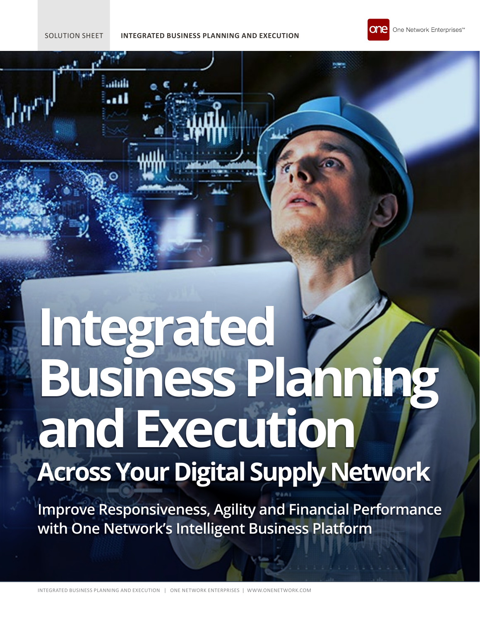## SOLUTION SHEET **INTEGRATED BUSINESS PLANNING AND EXECUTION**



# **Integrated Business Planning and Execution Across Your Digital Supply Network**

**Improve Responsiveness, Agility and Financial Performance with One Network's Intelligent Business Platform**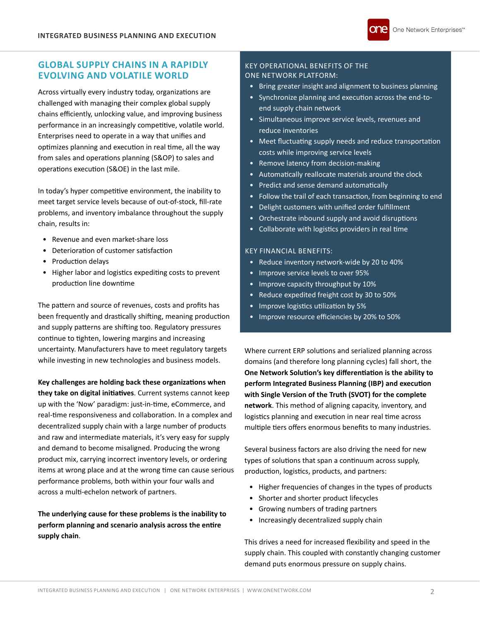# **GLOBAL SUPPLY CHAINS IN A RAPIDLY EVOLVING AND VOLATILE WORLD**

Across virtually every industry today, organizations are challenged with managing their complex global supply chains efficiently, unlocking value, and improving business performance in an increasingly competitive, volatile world. Enterprises need to operate in a way that unifies and optimizes planning and execution in real time, all the way from sales and operations planning (S&OP) to sales and operations execution (S&OE) in the last mile.

In today's hyper competitive environment, the inability to meet target service levels because of out-of-stock, fill-rate problems, and inventory imbalance throughout the supply chain, results in:

- Revenue and even market-share loss
- Deterioration of customer satisfaction
- Production delays
- Higher labor and logistics expediting costs to prevent production line downtime

The pattern and source of revenues, costs and profits has been frequently and drastically shifting, meaning production and supply patterns are shifting too. Regulatory pressures continue to tighten, lowering margins and increasing uncertainty. Manufacturers have to meet regulatory targets while investing in new technologies and business models.

# **Key challenges are holding back these organizations when they take on digital initiatives**. Current systems cannot keep up with the 'Now' paradigm: just-in-time, eCommerce, and real-time responsiveness and collaboration. In a complex and decentralized supply chain with a large number of products and raw and intermediate materials, it's very easy for supply and demand to become misaligned. Producing the wrong product mix, carrying incorrect inventory levels, or ordering items at wrong place and at the wrong time can cause serious performance problems, both within your four walls and across a multi-echelon network of partners.

**The underlying cause for these problems is the inability to perform planning and scenario analysis across the entire supply chain**.

## KEY OPERATIONAL BENEFITS OF THE ONE NETWORK PLATFORM:

- Bring greater insight and alignment to business planning
- Synchronize planning and execution across the end-toend supply chain network
- Simultaneous improve service levels, revenues and reduce inventories
- Meet fluctuating supply needs and reduce transportation costs while improving service levels
- Remove latency from decision-making
- Automatically reallocate materials around the clock
- Predict and sense demand automatically
- Follow the trail of each transaction, from beginning to end
- Delight customers with unified order fulfillment
- Orchestrate inbound supply and avoid disruptions
- Collaborate with logistics providers in real time

## KEY FINANCIAL BENEFITS:

- Reduce inventory network-wide by 20 to 40%
- Improve service levels to over 95%
- Improve capacity throughput by 10%
- Reduce expedited freight cost by 30 to 50%
- Improve logistics utilization by 5%
- Improve resource efficiencies by 20% to 50%

Where current ERP solutions and serialized planning across domains (and therefore long planning cycles) fall short, the **One Network Solution's key differentiation is the ability to perform Integrated Business Planning (IBP) and execution with Single Version of the Truth (SVOT) for the complete network**. This method of aligning capacity, inventory, and logistics planning and execution in near real time across multiple tiers offers enormous benefits to many industries.

Several business factors are also driving the need for new types of solutions that span a continuum across supply, production, logistics, products, and partners:

- Higher frequencies of changes in the types of products
- Shorter and shorter product lifecycles
- Growing numbers of trading partners
- Increasingly decentralized supply chain

This drives a need for increased flexibility and speed in the supply chain. This coupled with constantly changing customer demand puts enormous pressure on supply chains.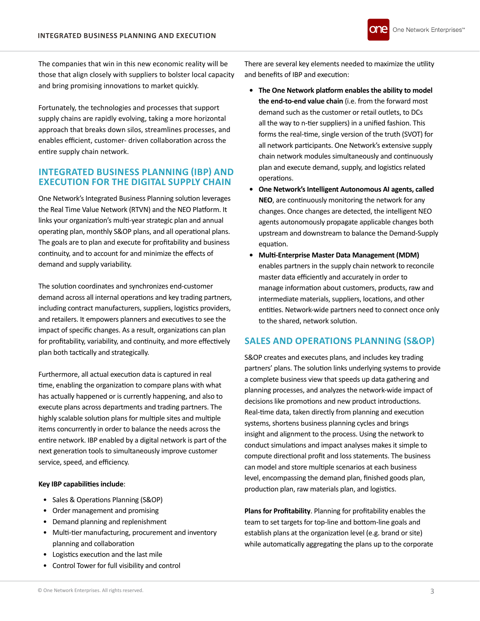The companies that win in this new economic reality will be those that align closely with suppliers to bolster local capacity and bring promising innovations to market quickly.

Fortunately, the technologies and processes that support supply chains are rapidly evolving, taking a more horizontal approach that breaks down silos, streamlines processes, and enables efficient, customer- driven collaboration across the entire supply chain network.

# **INTEGRATED BUSINESS PLANNING (IBP) AND EXECUTION FOR THE DIGITAL SUPPLY CHAIN**

One Network's Integrated Business Planning solution leverages the Real Time Value Network (RTVN) and the NEO Platform. It links your organization's multi-year strategic plan and annual operating plan, monthly S&OP plans, and all operational plans. The goals are to plan and execute for profitability and business continuity, and to account for and minimize the effects of demand and supply variability.

The solution coordinates and synchronizes end-customer demand across all internal operations and key trading partners, including contract manufacturers, suppliers, logistics providers, and retailers. It empowers planners and executives to see the impact of specific changes. As a result, organizations can plan for profitability, variability, and continuity, and more effectively plan both tactically and strategically.

Furthermore, all actual execution data is captured in real time, enabling the organization to compare plans with what has actually happened or is currently happening, and also to execute plans across departments and trading partners. The highly scalable solution plans for multiple sites and multiple items concurrently in order to balance the needs across the entire network. IBP enabled by a digital network is part of the next generation tools to simultaneously improve customer service, speed, and efficiency.

## **Key IBP capabilities include**:

- Sales & Operations Planning (S&OP)
- Order management and promising
- Demand planning and replenishment
- Multi-tier manufacturing, procurement and inventory planning and collaboration
- Logistics execution and the last mile
- Control Tower for full visibility and control

There are several key elements needed to maximize the utility and benefits of IBP and execution:

- **• The One Network platform enables the ability to model the end-to-end value chain** (i.e. from the forward most demand such as the customer or retail outlets, to DCs all the way to n-tier suppliers) in a unified fashion. This forms the real-time, single version of the truth (SVOT) for all network participants. One Network's extensive supply chain network modules simultaneously and continuously plan and execute demand, supply, and logistics related operations.
- **• One Network's Intelligent Autonomous AI agents, called NEO**, are continuously monitoring the network for any changes. Once changes are detected, the intelligent NEO agents autonomously propagate applicable changes both upstream and downstream to balance the Demand-Supply equation.
- **• Multi-Enterprise Master Data Management (MDM)** enables partners in the supply chain network to reconcile master data efficiently and accurately in order to manage information about customers, products, raw and intermediate materials, suppliers, locations, and other entities. Network-wide partners need to connect once only to the shared, network solution.

# **SALES AND OPERATIONS PLANNING (S&OP)**

S&OP creates and executes plans, and includes key trading partners' plans. The solution links underlying systems to provide a complete business view that speeds up data gathering and planning processes, and analyzes the network-wide impact of decisions like promotions and new product introductions. Real-time data, taken directly from planning and execution systems, shortens business planning cycles and brings insight and alignment to the process. Using the network to conduct simulations and impact analyses makes it simple to compute directional profit and loss statements. The business can model and store multiple scenarios at each business level, encompassing the demand plan, finished goods plan, production plan, raw materials plan, and logistics.

**Plans for Profitability**. Planning for profitability enables the team to set targets for top-line and bottom-line goals and establish plans at the organization level (e.g. brand or site) while automatically aggregating the plans up to the corporate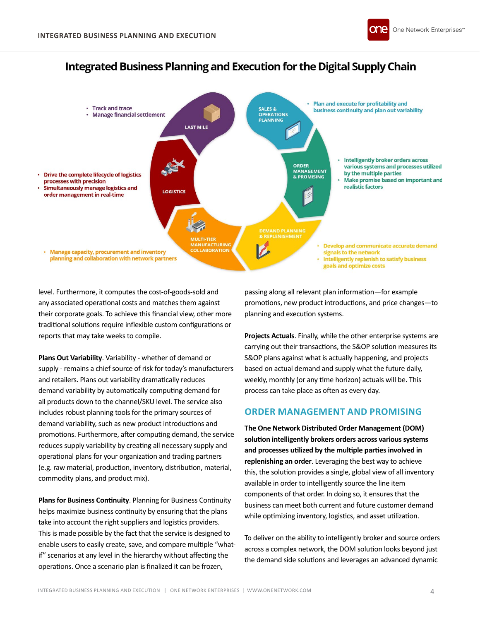





level. Furthermore, it computes the cost-of-goods-sold and any associated operational costs and matches them against their corporate goals. To achieve this financial view, other more traditional solutions require inflexible custom configurations or reports that may take weeks to compile.

**Plans Out Variability**. Variability - whether of demand or supply - remains a chief source of risk for today's manufacturers and retailers. Plans out variability dramatically reduces demand variability by automatically computing demand for all products down to the channel/SKU level. The service also includes robust planning tools for the primary sources of demand variability, such as new product introductions and promotions. Furthermore, after computing demand, the service reduces supply variability by creating all necessary supply and operational plans for your organization and trading partners (e.g. raw material, production, inventory, distribution, material, commodity plans, and product mix).

**Plans for Business Continuity**. Planning for Business Continuity helps maximize business continuity by ensuring that the plans take into account the right suppliers and logistics providers. This is made possible by the fact that the service is designed to enable users to easily create, save, and compare multiple "whatif" scenarios at any level in the hierarchy without affecting the operations. Once a scenario plan is finalized it can be frozen,

passing along all relevant plan information—for example promotions, new product introductions, and price changes—to planning and execution systems.

**Projects Actuals**. Finally, while the other enterprise systems are carrying out their transactions, the S&OP solution measures its S&OP plans against what is actually happening, and projects based on actual demand and supply what the future daily, weekly, monthly (or any time horizon) actuals will be. This process can take place as often as every day.

## **ORDER MANAGEMENT AND PROMISING**

**The One Network Distributed Order Management (DOM) solution intelligently brokers orders across various systems and processes utilized by the multiple parties involved in replenishing an order**. Leveraging the best way to achieve this, the solution provides a single, global view of all inventory available in order to intelligently source the line item components of that order. In doing so, it ensures that the business can meet both current and future customer demand while optimizing inventory, logistics, and asset utilization.

To deliver on the ability to intelligently broker and source orders across a complex network, the DOM solution looks beyond just the demand side solutions and leverages an advanced dynamic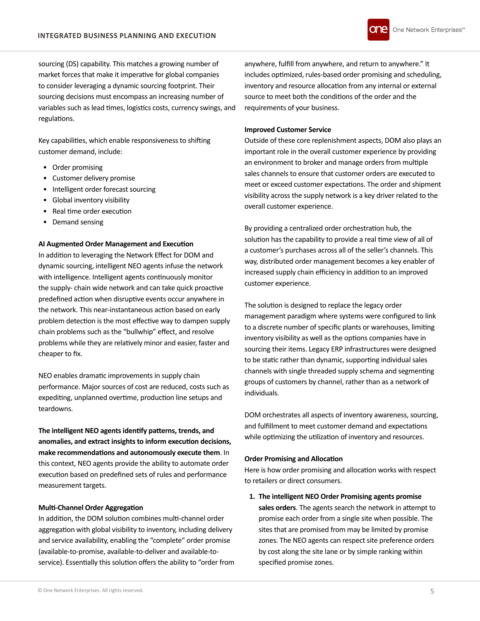

sourcing (DS) capability. This matches a growing number of market forces that make it imperative for global companies to consider leveraging a dynamic sourcing footprint. Their sourcing decisions must encompass an increasing number of variables such as lead times, logistics costs, currency swings, and regulations.

Key capabilities, which enable responsiveness to shifting customer demand, include:

- Order promising
- Customer delivery promise
- Intelligent order forecast sourcing
- Global inventory visibility
- Real time order execution
- Demand sensing

## **AI Augmented Order Management and Execution**

In addition to leveraging the Network Effect for DOM and dynamic sourcing, intelligent NEO agents infuse the network with intelligence. Intelligent agents continuously monitor the supply- chain wide network and can take quick proactive predefined action when disruptive events occur anywhere in the network. This near-instantaneous action based on early problem detection is the most effective way to dampen supply chain problems such as the "bullwhip" effect, and resolve problems while they are relatively minor and easier, faster and cheaper to fix.

NEO enables dramatic improvements in supply chain performance. Major sources of cost are reduced, costs such as expediting, unplanned overtime, production line setups and teardowns.

**The intelligent NEO agents identify patterns, trends, and anomalies, and extract insights to inform execution decisions, make recommendations and autonomously execute them**. In this context, NEO agents provide the ability to automate order execution based on predefined sets of rules and performance measurement targets.

## **Multi-Channel Order Aggregation**

In addition, the DOM solution combines multi-channel order aggregation with global visibility to inventory, including delivery and service availability, enabling the "complete" order promise (available-to-promise, available-to-deliver and available-toservice). Essentially this solution offers the ability to "order from

anywhere, fulfill from anywhere, and return to anywhere." It includes optimized, rules-based order promising and scheduling, inventory and resource allocation from any internal or external source to meet both the conditions of the order and the requirements of your business.

#### **Improved Customer Service**

Outside of these core replenishment aspects, DOM also plays an important role in the overall customer experience by providing an environment to broker and manage orders from multiple sales channels to ensure that customer orders are executed to meet or exceed customer expectations. The order and shipment visibility across the supply network is a key driver related to the overall customer experience.

By providing a centralized order orchestration hub, the solution has the capability to provide a real time view of all of a customer's purchases across all of the seller's channels. This way, distributed order management becomes a key enabler of increased supply chain efficiency in addition to an improved customer experience.

The solution is designed to replace the legacy order management paradigm where systems were configured to link to a discrete number of specific plants or warehouses, limiting inventory visibility as well as the options companies have in sourcing their items. Legacy ERP infrastructures were designed to be static rather than dynamic, supporting individual sales channels with single threaded supply schema and segmenting groups of customers by channel, rather than as a network of individuals.

DOM orchestrates all aspects of inventory awareness, sourcing, and fulfillment to meet customer demand and expectations while optimizing the utilization of inventory and resources.

## **Order Promising and Allocation**

Here is how order promising and allocation works with respect to retailers or direct consumers.

**1. The intelligent NEO Order Promising agents promise sales orders**. The agents search the network in attempt to promise each order from a single site when possible. The sites that are promised from may be limited by promise zones. The NEO agents can respect site preference orders by cost along the site lane or by simple ranking within specified promise zones.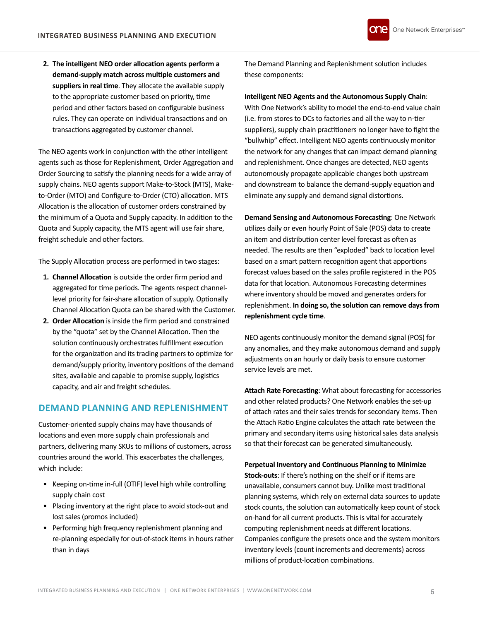**2. The intelligent NEO order allocation agents perform a demand-supply match across multiple customers and suppliers in real time**. They allocate the available supply to the appropriate customer based on priority, time period and other factors based on configurable business rules. They can operate on individual transactions and on transactions aggregated by customer channel.

The NEO agents work in conjunction with the other intelligent agents such as those for Replenishment, Order Aggregation and Order Sourcing to satisfy the planning needs for a wide array of supply chains. NEO agents support Make-to-Stock (MTS), Maketo-Order (MTO) and Configure-to-Order (CTO) allocation. MTS Allocation is the allocation of customer orders constrained by the minimum of a Quota and Supply capacity. In addition to the Quota and Supply capacity, the MTS agent will use fair share, freight schedule and other factors.

The Supply Allocation process are performed in two stages:

- **1. Channel Allocation** is outside the order firm period and aggregated for time periods. The agents respect channellevel priority for fair-share allocation of supply. Optionally Channel Allocation Quota can be shared with the Customer.
- **2. Order Allocation** is inside the firm period and constrained by the "quota" set by the Channel Allocation. Then the solution continuously orchestrates fulfillment execution for the organization and its trading partners to optimize for demand/supply priority, inventory positions of the demand sites, available and capable to promise supply, logistics capacity, and air and freight schedules.

## **DEMAND PLANNING AND REPLENISHMENT**

Customer-oriented supply chains may have thousands of locations and even more supply chain professionals and partners, delivering many SKUs to millions of customers, across countries around the world. This exacerbates the challenges, which include:

- Keeping on-time in-full (OTIF) level high while controlling supply chain cost
- Placing inventory at the right place to avoid stock-out and lost sales (promos included)
- Performing high frequency replenishment planning and re-planning especially for out-of-stock items in hours rather than in days

The Demand Planning and Replenishment solution includes these components:

**Intelligent NEO Agents and the Autonomous Supply Chain**: With One Network's ability to model the end-to-end value chain (i.e. from stores to DCs to factories and all the way to n-tier suppliers), supply chain practitioners no longer have to fight the "bullwhip" effect. Intelligent NEO agents continuously monitor the network for any changes that can impact demand planning and replenishment. Once changes are detected, NEO agents autonomously propagate applicable changes both upstream and downstream to balance the demand-supply equation and eliminate any supply and demand signal distortions.

**Demand Sensing and Autonomous Forecasting**: One Network utilizes daily or even hourly Point of Sale (POS) data to create an item and distribution center level forecast as often as needed. The results are then "exploded" back to location level based on a smart pattern recognition agent that apportions forecast values based on the sales profile registered in the POS data for that location. Autonomous Forecasting determines where inventory should be moved and generates orders for replenishment. **In doing so, the solution can remove days from replenishment cycle time**.

NEO agents continuously monitor the demand signal (POS) for any anomalies, and they make autonomous demand and supply adjustments on an hourly or daily basis to ensure customer service levels are met.

**Attach Rate Forecasting**: What about forecasting for accessories and other related products? One Network enables the set-up of attach rates and their sales trends for secondary items. Then the Attach Ratio Engine calculates the attach rate between the primary and secondary items using historical sales data analysis so that their forecast can be generated simultaneously.

**Perpetual Inventory and Continuous Planning to Minimize Stock-outs**: If there's nothing on the shelf or if items are unavailable, consumers cannot buy. Unlike most traditional planning systems, which rely on external data sources to update stock counts, the solution can automatically keep count of stock on-hand for all current products. This is vital for accurately computing replenishment needs at different locations. Companies configure the presets once and the system monitors inventory levels (count increments and decrements) across

millions of product-location combinations.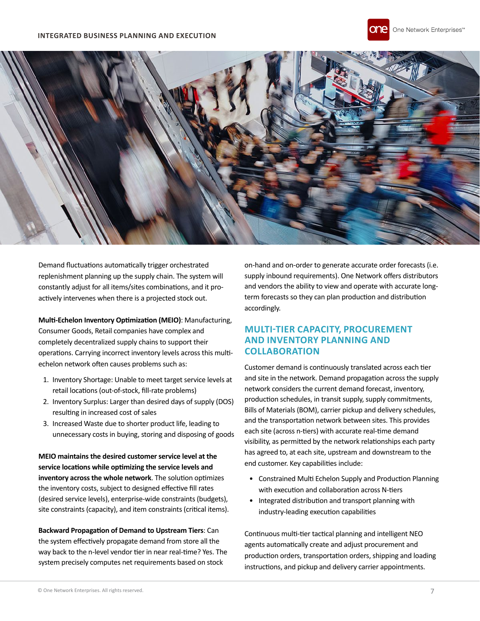



Demand fluctuations automatically trigger orchestrated replenishment planning up the supply chain. The system will constantly adjust for all items/sites combinations, and it proactively intervenes when there is a projected stock out.

**Multi-Echelon Inventory Optimization (MEIO)**: Manufacturing, Consumer Goods, Retail companies have complex and completely decentralized supply chains to support their operations. Carrying incorrect inventory levels across this multiechelon network often causes problems such as:

- 1. Inventory Shortage: Unable to meet target service levels at retail locations (out-of-stock, fill-rate problems)
- 2. Inventory Surplus: Larger than desired days of supply (DOS) resulting in increased cost of sales
- 3. Increased Waste due to shorter product life, leading to unnecessary costs in buying, storing and disposing of goods

**MEIO maintains the desired customer service level at the service locations while optimizing the service levels and inventory across the whole network**. The solution optimizes the inventory costs, subject to designed effective fill rates (desired service levels), enterprise-wide constraints (budgets), site constraints (capacity), and item constraints (critical items).

**Backward Propagation of Demand to Upstream Tiers**: Can the system effectively propagate demand from store all the way back to the n-level vendor tier in near real-time? Yes. The system precisely computes net requirements based on stock

on-hand and on-order to generate accurate order forecasts (i.e. supply inbound requirements). One Network offers distributors and vendors the ability to view and operate with accurate longterm forecasts so they can plan production and distribution accordingly.

# **MULTI-TIER CAPACITY, PROCUREMENT AND INVENTORY PLANNING AND COLLABORATION**

Customer demand is continuously translated across each tier and site in the network. Demand propagation across the supply network considers the current demand forecast, inventory, production schedules, in transit supply, supply commitments, Bills of Materials (BOM), carrier pickup and delivery schedules, and the transportation network between sites. This provides each site (across n-tiers) with accurate real-time demand visibility, as permitted by the network relationships each party has agreed to, at each site, upstream and downstream to the end customer. Key capabilities include:

- Constrained Multi Echelon Supply and Production Planning with execution and collaboration across N-tiers
- Integrated distribution and transport planning with industry-leading execution capabilities

Continuous multi-tier tactical planning and intelligent NEO agents automatically create and adjust procurement and production orders, transportation orders, shipping and loading instructions, and pickup and delivery carrier appointments.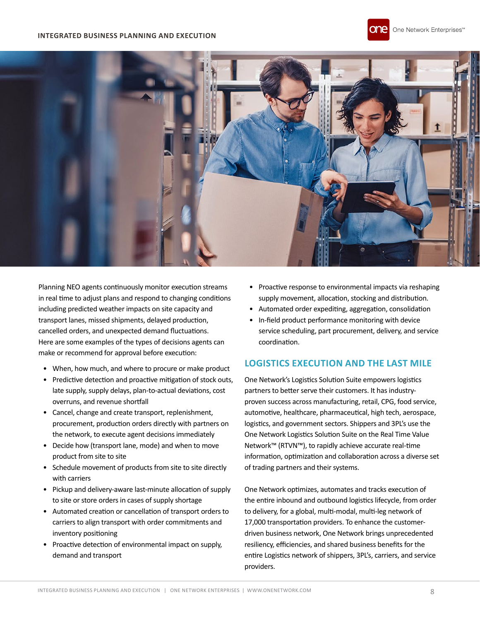#### **INTEGRATED BUSINESS PLANNING AND EXECUTION**





Planning NEO agents continuously monitor execution streams in real time to adjust plans and respond to changing conditions including predicted weather impacts on site capacity and transport lanes, missed shipments, delayed production, cancelled orders, and unexpected demand fluctuations. Here are some examples of the types of decisions agents can make or recommend for approval before execution:

- When, how much, and where to procure or make product
- Predictive detection and proactive mitigation of stock outs, late supply, supply delays, plan-to-actual deviations, cost overruns, and revenue shortfall
- Cancel, change and create transport, replenishment, procurement, production orders directly with partners on the network, to execute agent decisions immediately
- Decide how (transport lane, mode) and when to move product from site to site
- Schedule movement of products from site to site directly with carriers
- Pickup and delivery-aware last-minute allocation of supply to site or store orders in cases of supply shortage
- Automated creation or cancellation of transport orders to carriers to align transport with order commitments and inventory positioning
- Proactive detection of environmental impact on supply, demand and transport
- Proactive response to environmental impacts via reshaping supply movement, allocation, stocking and distribution.
- Automated order expediting, aggregation, consolidation
- In-field product performance monitoring with device service scheduling, part procurement, delivery, and service coordination.

## **LOGISTICS EXECUTION AND THE LAST MILE**

One Network's Logistics Solution Suite empowers logistics partners to better serve their customers. It has industryproven success across manufacturing, retail, CPG, food service, automotive, healthcare, pharmaceutical, high tech, aerospace, logistics, and government sectors. Shippers and 3PL's use the One Network Logistics Solution Suite on the Real Time Value Network™ (RTVN™), to rapidly achieve accurate real-time information, optimization and collaboration across a diverse set of trading partners and their systems.

One Network optimizes, automates and tracks execution of the entire inbound and outbound logistics lifecycle, from order to delivery, for a global, multi-modal, multi-leg network of 17,000 transportation providers. To enhance the customerdriven business network, One Network brings unprecedented resiliency, efficiencies, and shared business benefits for the entire Logistics network of shippers, 3PL's, carriers, and service providers.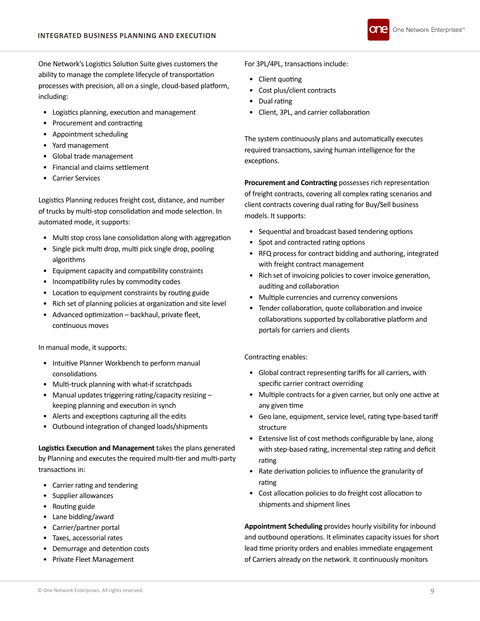

One Network's Logistics Solution Suite gives customers the ability to manage the complete lifecycle of transportation processes with precision, all on a single, cloud-based platform, including:

- Logistics planning, execution and management
- Procurement and contracting
- Appointment scheduling
- Yard management
- Global trade management
- Financial and claims settlement
- Carrier Services

Logistics Planning reduces freight cost, distance, and number of trucks by multi-stop consolidation and mode selection. In automated mode, it supports:

- Multi stop cross lane consolidation along with aggregation
- Single pick multi drop, multi pick single drop, pooling algorithms
- Equipment capacity and compatibility constraints
- Incompatibility rules by commodity codes
- Location to equipment constraints by routing guide
- Rich set of planning policies at organization and site level
- Advanced optimization backhaul, private fleet, continuous moves

In manual mode, it supports:

- Intuitive Planner Workbench to perform manual consolidations
- Multi-truck planning with what-if scratchpads
- Manual updates triggering rating/capacity resizing keeping planning and execution in synch
- Alerts and exceptions capturing all the edits
- Outbound integration of changed loads/shipments

**Logistics Execution and Management** takes the plans generated by Planning and executes the required multi-tier and multi-party transactions in:

- Carrier rating and tendering
- Supplier allowances
- Routing guide
- Lane bidding/award
- Carrier/partner portal
- Taxes, accessorial rates
- Demurrage and detention costs
- Private Fleet Management

For 3PL/4PL, transactions include:

- Client quoting
- Cost plus/client contracts
- Dual rating
- Client, 3PL, and carrier collaboration

The system continuously plans and automatically executes required transactions, saving human intelligence for the exceptions.

**Procurement and Contracting** possesses rich representation of freight contracts, covering all complex rating scenarios and client contracts covering dual rating for Buy/Sell business models. It supports:

- Sequential and broadcast based tendering options
- Spot and contracted rating options
- RFQ process for contract bidding and authoring, integrated with freight contract management
- Rich set of invoicing policies to cover invoice generation, auditing and collaboration
- Multiple currencies and currency conversions
- Tender collaboration, quote collaboration and invoice collaborations supported by collaborative platform and portals for carriers and clients

Contracting enables:

- Global contract representing tariffs for all carriers, with specific carrier contract overriding
- Multiple contracts for a given carrier, but only one active at any given time
- Geo lane, equipment, service level, rating type-based tariff structure
- Extensive list of cost methods configurable by lane, along with step-based rating, incremental step rating and deficit rating
- Rate derivation policies to influence the granularity of rating
- Cost allocation policies to do freight cost allocation to shipments and shipment lines

**Appointment Scheduling** provides hourly visibility for inbound and outbound operations. It eliminates capacity issues for short lead time priority orders and enables immediate engagement of Carriers already on the network. It continuously monitors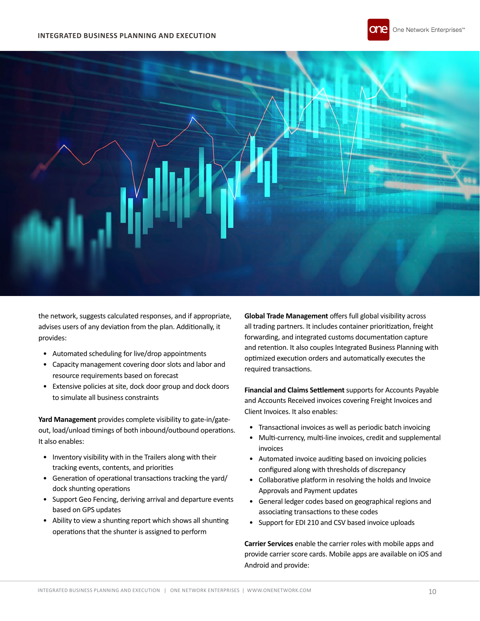



the network, suggests calculated responses, and if appropriate, advises users of any deviation from the plan. Additionally, it provides:

- Automated scheduling for live/drop appointments
- Capacity management covering door slots and labor and resource requirements based on forecast
- Extensive policies at site, dock door group and dock doors to simulate all business constraints

**Yard Management** provides complete visibility to gate-in/gateout, load/unload timings of both inbound/outbound operations. It also enables:

- Inventory visibility with in the Trailers along with their tracking events, contents, and priorities
- Generation of operational transactions tracking the yard/ dock shunting operations
- Support Geo Fencing, deriving arrival and departure events based on GPS updates
- Ability to view a shunting report which shows all shunting operations that the shunter is assigned to perform

**Global Trade Management** offers full global visibility across all trading partners. It includes container prioritization, freight forwarding, and integrated customs documentation capture and retention. It also couples Integrated Business Planning with optimized execution orders and automatically executes the required transactions.

**Financial and Claims Settlement** supports for Accounts Payable and Accounts Received invoices covering Freight Invoices and Client Invoices. It also enables:

- Transactional invoices as well as periodic batch invoicing
- Multi-currency, multi-line invoices, credit and supplemental invoices
- Automated invoice auditing based on invoicing policies configured along with thresholds of discrepancy
- Collaborative platform in resolving the holds and Invoice Approvals and Payment updates
- General ledger codes based on geographical regions and associating transactions to these codes
- Support for EDI 210 and CSV based invoice uploads

**Carrier Services** enable the carrier roles with mobile apps and provide carrier score cards. Mobile apps are available on iOS and Android and provide: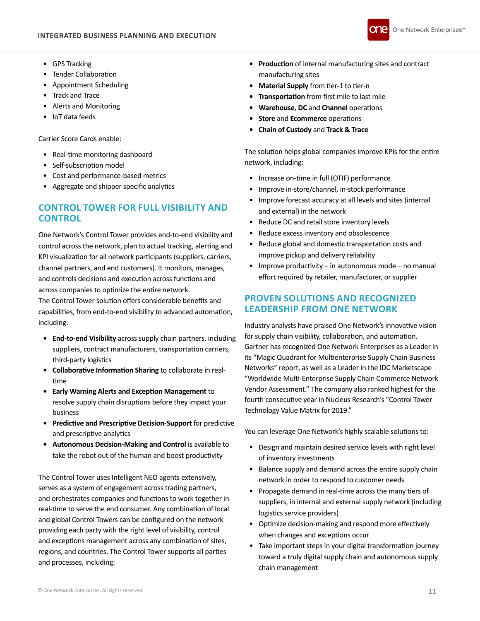

- GPS Tracking
- Tender Collaboration
- Appointment Scheduling
- Track and Trace
- Alerts and Monitoring
- IoT data feeds

Carrier Score Cards enable:

- Real-time monitoring dashboard
- Self-subscription model
- Cost and performance-based metrics
- Aggregate and shipper specific analytics

# **CONTROL TOWER FOR FULL VISIBILITY AND CONTROL**

One Network's Control Tower provides end-to-end visibility and control across the network, plan to actual tracking, alerting and KPI visualization for all network participants (suppliers, carriers, channel partners, and end customers). It monitors, manages, and controls decisions and execution across functions and across companies to optimize the entire network.

The Control Tower solution offers considerable benefits and capabilities, from end-to-end visibility to advanced automation, including:

- **• End-to-end Visibility** across supply chain partners, including suppliers, contract manufacturers, transportation carriers, third-party logistics
- **• Collaborative Information Sharing** to collaborate in realtime
- **• Early Warning Alerts and Exception Management** to resolve supply chain disruptions before they impact your business
- **• Predictive and Prescriptive Decision-Support** for predictive and prescriptive analytics
- **• Autonomous Decision-Making and Control** is available to take the robot out of the human and boost productivity

The Control Tower uses Intelligent NEO agents extensively, serves as a system of engagement across trading partners, and orchestrates companies and functions to work together in real-time to serve the end consumer. Any combination of local and global Control Towers can be configured on the network providing each party with the right level of visibility, control and exceptions management across any combination of sites, regions, and countries. The Control Tower supports all parties and processes, including:

- **• Production** of internal manufacturing sites and contract manufacturing sites
- **• Material Supply** from tier-1 to tier-n
- **• Transportation** from first mile to last mile
- **• Warehouse**, **DC** and **Channel** operations
- **• Store** and **Ecommerce** operations
- **• Chain of Custody** and **Track & Trace**

The solution helps global companies improve KPIs for the entire network, including:

- Increase on-time in full (OTIF) performance
- Improve in-store/channel, in-stock performance
- Improve forecast accuracy at all levels and sites (internal and external) in the network
- Reduce DC and retail store inventory levels
- Reduce excess inventory and obsolescence
- Reduce global and domestic transportation costs and improve pickup and delivery reliability
- Improve productivity in autonomous mode no manual effort required by retailer, manufacturer, or supplier

# **PROVEN SOLUTIONS AND RECOGNIZED LEADERSHIP FROM ONE NETWORK**

Industry analysts have praised One Network's innovative vision for supply chain visibility, collaboration, and automation. Gartner has recognized One Network Enterprises as a Leader in its "Magic Quadrant for Multienterprise Supply Chain Business Networks" report, as well as a Leader in the IDC Marketscape "Worldwide Multi-Enterprise Supply Chain Commerce Network Vendor Assessment." The company also ranked highest for the fourth consecutive year in Nucleus Research's "Control Tower Technology Value Matrix for 2019."

You can leverage One Network's highly scalable solutions to:

- Design and maintain desired service levels with right level of inventory investments
- Balance supply and demand across the entire supply chain network in order to respond to customer needs
- Propagate demand in real-time across the many tiers of suppliers, in internal and external supply network (including logistics service providers)
- Optimize decision-making and respond more effectively when changes and exceptions occur
- Take important steps in your digital transformation journey toward a truly digital supply chain and autonomous supply chain management